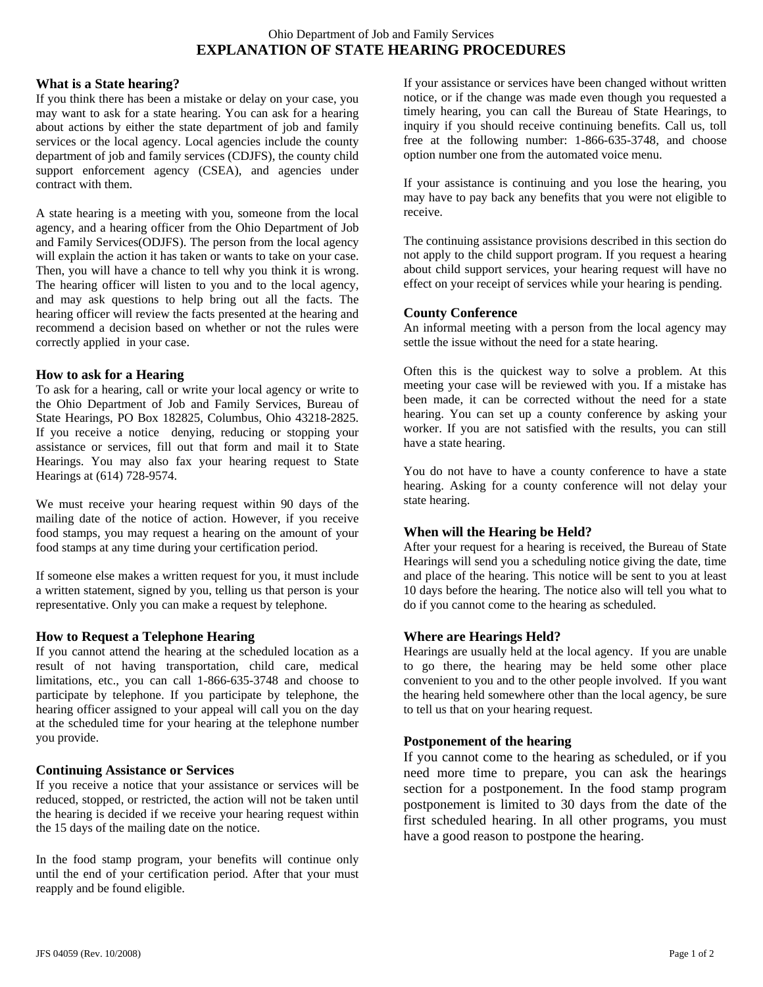# Ohio Department of Job and Family Services **EXPLANATION OF STATE HEARING PROCEDURES**

### **What is a State hearing?**

If you think there has been a mistake or delay on your case, you may want to ask for a state hearing. You can ask for a hearing about actions by either the state department of job and family services or the local agency. Local agencies include the county department of job and family services (CDJFS), the county child support enforcement agency (CSEA), and agencies under contract with them.

A state hearing is a meeting with you, someone from the local agency, and a hearing officer from the Ohio Department of Job and Family Services(ODJFS). The person from the local agency will explain the action it has taken or wants to take on your case. Then, you will have a chance to tell why you think it is wrong. The hearing officer will listen to you and to the local agency, and may ask questions to help bring out all the facts. The hearing officer will review the facts presented at the hearing and recommend a decision based on whether or not the rules were correctly applied in your case.

#### **How to ask for a Hearing**

To ask for a hearing, call or write your local agency or write to the Ohio Department of Job and Family Services, Bureau of State Hearings, PO Box 182825, Columbus, Ohio 43218-2825. If you receive a notice denying, reducing or stopping your assistance or services, fill out that form and mail it to State Hearings. You may also fax your hearing request to State Hearings at (614) 728-9574.

We must receive your hearing request within 90 days of the mailing date of the notice of action. However, if you receive food stamps, you may request a hearing on the amount of your food stamps at any time during your certification period.

If someone else makes a written request for you, it must include a written statement, signed by you, telling us that person is your representative. Only you can make a request by telephone.

### **How to Request a Telephone Hearing**

If you cannot attend the hearing at the scheduled location as a result of not having transportation, child care, medical limitations, etc., you can call 1-866-635-3748 and choose to participate by telephone. If you participate by telephone, the hearing officer assigned to your appeal will call you on the day at the scheduled time for your hearing at the telephone number you provide.

### **Continuing Assistance or Services**

If you receive a notice that your assistance or services will be reduced, stopped, or restricted, the action will not be taken until the hearing is decided if we receive your hearing request within the 15 days of the mailing date on the notice.

In the food stamp program, your benefits will continue only until the end of your certification period. After that your must reapply and be found eligible.

If your assistance or services have been changed without written notice, or if the change was made even though you requested a timely hearing, you can call the Bureau of State Hearings, to inquiry if you should receive continuing benefits. Call us, toll free at the following number: 1-866-635-3748, and choose option number one from the automated voice menu.

If your assistance is continuing and you lose the hearing, you may have to pay back any benefits that you were not eligible to receive.

The continuing assistance provisions described in this section do not apply to the child support program. If you request a hearing about child support services, your hearing request will have no effect on your receipt of services while your hearing is pending.

#### **County Conference**

An informal meeting with a person from the local agency may settle the issue without the need for a state hearing.

Often this is the quickest way to solve a problem. At this meeting your case will be reviewed with you. If a mistake has been made, it can be corrected without the need for a state hearing. You can set up a county conference by asking your worker. If you are not satisfied with the results, you can still have a state hearing.

You do not have to have a county conference to have a state hearing. Asking for a county conference will not delay your state hearing.

### **When will the Hearing be Held?**

After your request for a hearing is received, the Bureau of State Hearings will send you a scheduling notice giving the date, time and place of the hearing. This notice will be sent to you at least 10 days before the hearing. The notice also will tell you what to do if you cannot come to the hearing as scheduled.

### **Where are Hearings Held?**

Hearings are usually held at the local agency. If you are unable to go there, the hearing may be held some other place convenient to you and to the other people involved. If you want the hearing held somewhere other than the local agency, be sure to tell us that on your hearing request.

### **Postponement of the hearing**

If you cannot come to the hearing as scheduled, or if you need more time to prepare, you can ask the hearings section for a postponement. In the food stamp program postponement is limited to 30 days from the date of the first scheduled hearing. In all other programs, you must have a good reason to postpone the hearing.